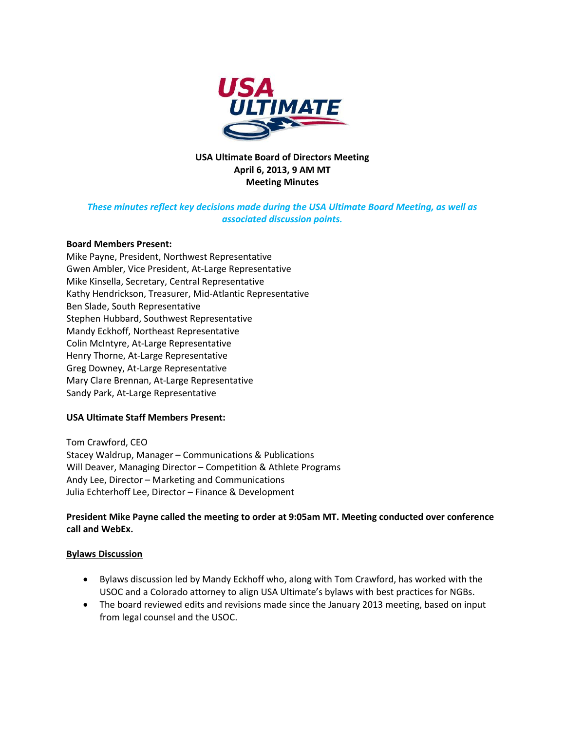

# **USA Ultimate Board of Directors Meeting April 6, 2013, 9 AM MT Meeting Minutes**

# *These minutes reflect key decisions made during the USA Ultimate Board Meeting, as well as associated discussion points.*

#### **Board Members Present:**

Mike Payne, President, Northwest Representative Gwen Ambler, Vice President, At-Large Representative Mike Kinsella, Secretary, Central Representative Kathy Hendrickson, Treasurer, Mid-Atlantic Representative Ben Slade, South Representative Stephen Hubbard, Southwest Representative Mandy Eckhoff, Northeast Representative Colin McIntyre, At-Large Representative Henry Thorne, At-Large Representative Greg Downey, At-Large Representative Mary Clare Brennan, At-Large Representative Sandy Park, At-Large Representative

## **USA Ultimate Staff Members Present:**

Tom Crawford, CEO Stacey Waldrup, Manager – Communications & Publications Will Deaver, Managing Director – Competition & Athlete Programs Andy Lee, Director – Marketing and Communications Julia Echterhoff Lee, Director – Finance & Development

## **President Mike Payne called the meeting to order at 9:05am MT. Meeting conducted over conference call and WebEx.**

## **Bylaws Discussion**

- Bylaws discussion led by Mandy Eckhoff who, along with Tom Crawford, has worked with the USOC and a Colorado attorney to align USA Ultimate's bylaws with best practices for NGBs.
- The board reviewed edits and revisions made since the January 2013 meeting, based on input from legal counsel and the USOC.